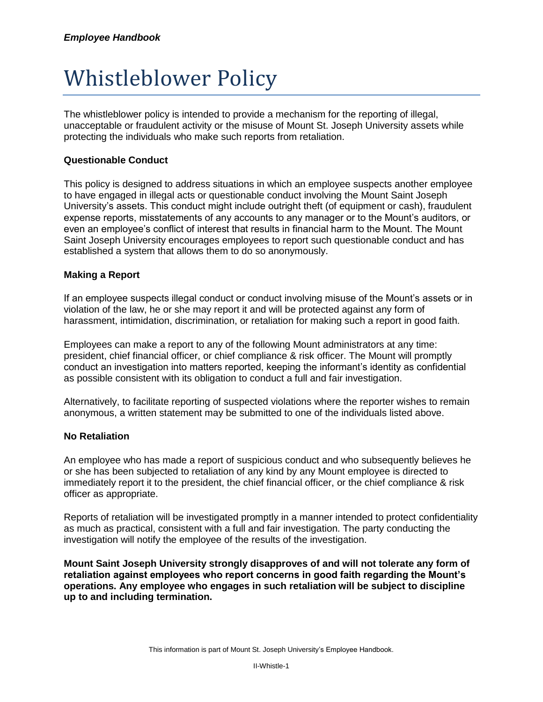# Whistleblower Policy

The whistleblower policy is intended to provide a mechanism for the reporting of illegal, unacceptable or fraudulent activity or the misuse of Mount St. Joseph University assets while protecting the individuals who make such reports from retaliation.

### **Questionable Conduct**

This policy is designed to address situations in which an employee suspects another employee to have engaged in illegal acts or questionable conduct involving the Mount Saint Joseph University's assets. This conduct might include outright theft (of equipment or cash), fraudulent expense reports, misstatements of any accounts to any manager or to the Mount's auditors, or even an employee's conflict of interest that results in financial harm to the Mount. The Mount Saint Joseph University encourages employees to report such questionable conduct and has established a system that allows them to do so anonymously.

#### **Making a Report**

If an employee suspects illegal conduct or conduct involving misuse of the Mount's assets or in violation of the law, he or she may report it and will be protected against any form of harassment, intimidation, discrimination, or retaliation for making such a report in good faith.

Employees can make a report to any of the following Mount administrators at any time: president, chief financial officer, or chief compliance & risk officer. The Mount will promptly conduct an investigation into matters reported, keeping the informant's identity as confidential as possible consistent with its obligation to conduct a full and fair investigation.

Alternatively, to facilitate reporting of suspected violations where the reporter wishes to remain anonymous, a written statement may be submitted to one of the individuals listed above.

#### **No Retaliation**

An employee who has made a report of suspicious conduct and who subsequently believes he or she has been subjected to retaliation of any kind by any Mount employee is directed to immediately report it to the president, the chief financial officer, or the chief compliance & risk officer as appropriate.

Reports of retaliation will be investigated promptly in a manner intended to protect confidentiality as much as practical, consistent with a full and fair investigation. The party conducting the investigation will notify the employee of the results of the investigation.

**Mount Saint Joseph University strongly disapproves of and will not tolerate any form of retaliation against employees who report concerns in good faith regarding the Mount's operations. Any employee who engages in such retaliation will be subject to discipline up to and including termination.**